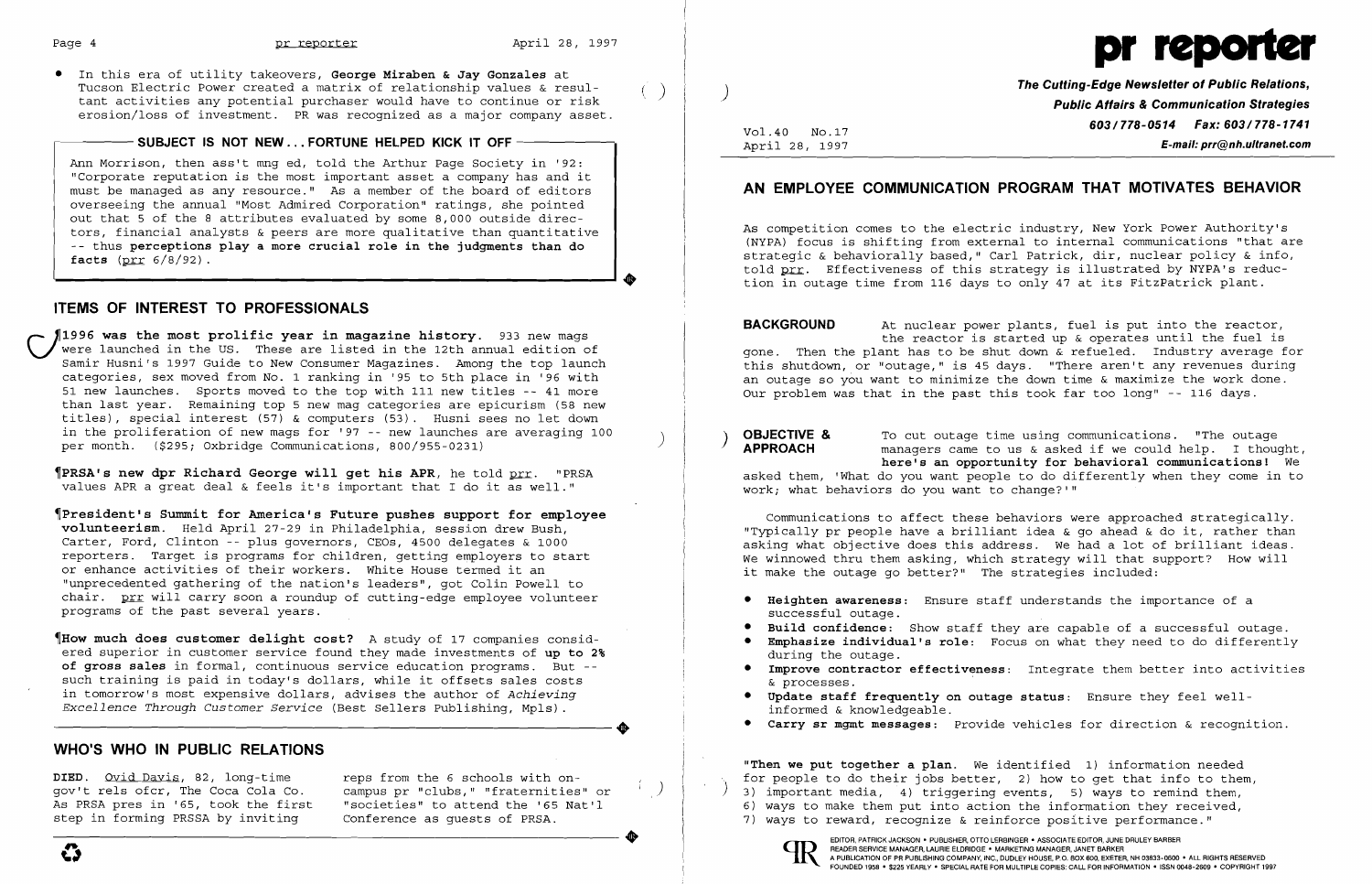

• In this era of utility takeovers, **George Miraben & Jay Gonzales** at Tucson Electric Power created a matrix of relationship values & resul-<br>tant activities any potential purchaser would have to continue or risk erosion/loss of investment. PR was recognized as a major company asset.

### - SUBJECT IS NOT NEW ... FORTUNE HELPED KICK IT OFF -

Ann Morrison, then ass't mng ed, told the Arthur Page Society in '92: "Corporate reputation is the most important asset a company has and it must be managed as any resource." As a member of the board of editors overseeing the annual "Most Admired Corporation" ratings, she pointed out that 5 of the 8 attributes evaluated by some 8,000 outside directors, financial analysts & peers are more qualitative than quantitative -- thus **perceptions playa more crucial role in the judgments than do facts** (prr 6/8/92) .

## **ITEMS OF INTEREST TO PROFESSIONALS**

**1996 was the most prolific year in magazine history.** 933 new mags were launched in the US. These are listed in the 12th annual edition of Samir Husni's 1997 Guide to New Consumer Magazines. Among the top launch categories, sex moved from NO.1 ranking in '95 to 5th place in '96 with 51 new launches. Sports moved to the top with 111 new titles -- 41 more than last year. Remaining top 5 new mag categories are epicurism (58 new titles), special interest (57) & computers (53). Husni sees no let down in the proliferation of new mags for '97 -- new launches are averaging 100 per month. (\$295; Oxbridge Communications, 800/955-0231)

..

~PRSA' **s new dpr Richard George will get his APR,** he told prr. "PRSA values APR a great deal & feels it's important that I do it as well."

~President·s **Summit for America's Future pushes support for employee volunteerism.** Held April 27-29 in Philadelphia, session drew Bush, Carter, Ford, Clinton -- plus governors, CEOs, 4500 delegates & 1000 reporters. Target is programs for children, getting employers to start or enhance activities of their workers. White House termed it an "unprecedented gathering of the nation's leaders", got Colin Powell to chair. prr will carry soon a roundup of cutting-edge employee volunteer programs of the past several years.

**OBJECTIVE &** To cut outage time using communications. "The outage **APPROACH** annouaners came to us & asked if we could help. I thought, **here's an opportunity for behavioral communications!** We asked them, 'What do you want people to do differently when they come in to work; what behaviors do you want to change?'"

~How **much does customer delight cost?** A study of 17 companies considered superior in customer service found they made investments of **up to 2% of gross sales** in formal, continuous service education programs. But such training is paid in today's dollars, while it offsets sales costs in tomorrow's most expensive dollars, advises the author of *Achieving*<br>
Excellence Through Customer Service (Best Sellers Publishing, Mpls). *Excellence Through Customer Service* (Best Sellers Publishing, Mpls).

> **"Then we put together a plan.** We identified 1} information needed for people to do their jobs better, 2} how to get that info to them, 3) important media, 4) triggering events, 5) ways to remind them, 6} ways to make them put into action the information they received, 7) ways to reward, recognize & reinforce positive performance."

- 
- 



## **WHO·S WHO IN PUBLIC RELATIONS**

DIED. <u>Ovid Davis</u>, 82, long-time reps from the 6 schools with on-<br>gov't rels ofcr, The Coca Cola Co. campus pr "clubs," "fraternities As PRSA pres in '65, took the first "societies" to attend the '65 Nat'l<br>step in forming PRSSA by inviting Conference as quests of PRSA.

gov't rels ofcr, The Coca Cola Co. campus pr "clubs," "fraternities" or<br>As PRSA pres in '65, took the first "societies" to attend the '65 Nat'l

)

Vol. 40 NO.17 April 28, 1997 **The Cutting-Edge Newsletter of Public Relations, Public Affairs & Communication Strategies 603/778-0514 Fax: 603/778-1741 E-mail: prr@nh.ultranet.com** 

**Build confidence:** Show staff they are capable of a successful outage. **Emphasize individual's role:** Focus on what they need to do differently

**Improve contractor effectiveness:** Integrate them better into activities

# **AN EMPLOYEE COMMUNICATION PROGRAM THAT MOTIVATES BEHAVIOR**

As competition comes to the electric industry, New York Power Authority's (NYPA) focus is shifting from external to internal communications "that are strategic & behaviorally based," Carl Patrick, dir, nuclear policy & info, told prr. Effectiveness of this strategy is illustrated by NYPA's reduction in outage time from 116 days to only 47 at its FitzPatrick plant.

**BACKGROUND** At nuclear power plants, fuel is put into the reactor, the reactor is started up & operates until the fuel is gone. Then the plant has to be shut down & refueled. Industry average for this shutdown, or "outage," is 45 days. "There aren't any revenues during an outage so you want to minimize the down time & maximize the work done. Our problem was that in the past this took far too long" -- 116 days.

Communications to affect these behaviors were approached strategically. "Typically pr people have a brilliant idea  $\&$  qo ahead  $\&$  do it, rather than asking what objective does this address. We had a lot of brilliant ideas. We winnowed thru them asking, which strategy will that support? How will it make the outage go better?" The strategies included:

- **• Heighten awareness:** Ensure staff understands the importance of a successful outage.
- 
- during the outage.
- & processes.
- **• Update staff frequently on outage status:** Ensure they feel well informed & knowledgeable.
- **• Carry sr mgmt messages:** Provide vehicles for direction & recognition.